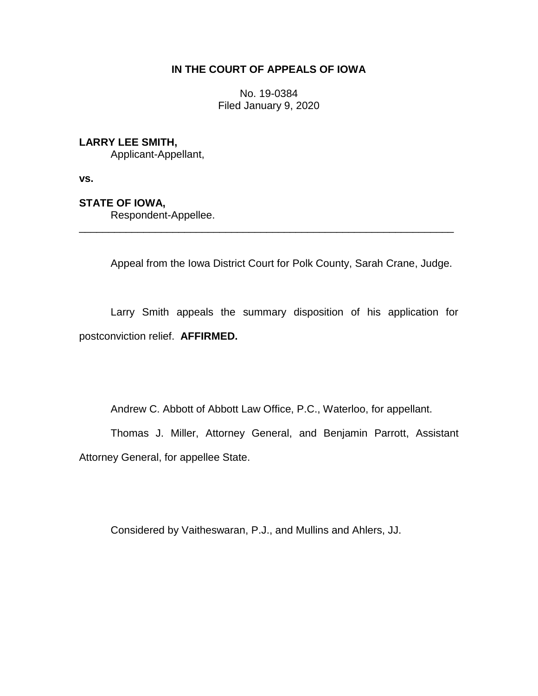## **IN THE COURT OF APPEALS OF IOWA**

No. 19-0384 Filed January 9, 2020

## **LARRY LEE SMITH,**

Applicant-Appellant,

**vs.**

## **STATE OF IOWA,**

Respondent-Appellee.

Appeal from the Iowa District Court for Polk County, Sarah Crane, Judge.

Larry Smith appeals the summary disposition of his application for postconviction relief. **AFFIRMED.** 

\_\_\_\_\_\_\_\_\_\_\_\_\_\_\_\_\_\_\_\_\_\_\_\_\_\_\_\_\_\_\_\_\_\_\_\_\_\_\_\_\_\_\_\_\_\_\_\_\_\_\_\_\_\_\_\_\_\_\_\_\_\_\_\_

Andrew C. Abbott of Abbott Law Office, P.C., Waterloo, for appellant.

Thomas J. Miller, Attorney General, and Benjamin Parrott, Assistant Attorney General, for appellee State.

Considered by Vaitheswaran, P.J., and Mullins and Ahlers, JJ.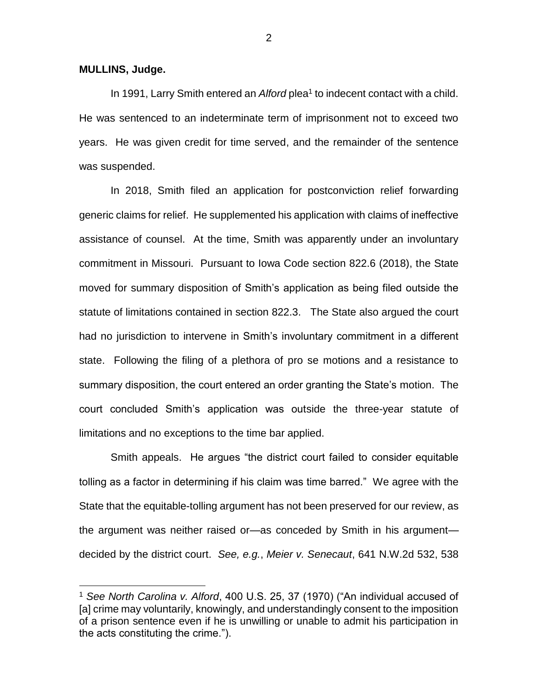**MULLINS, Judge.**

 $\overline{a}$ 

In 1991, Larry Smith entered an *Alford* plea<sup>1</sup> to indecent contact with a child. He was sentenced to an indeterminate term of imprisonment not to exceed two years. He was given credit for time served, and the remainder of the sentence was suspended.

In 2018, Smith filed an application for postconviction relief forwarding generic claims for relief. He supplemented his application with claims of ineffective assistance of counsel. At the time, Smith was apparently under an involuntary commitment in Missouri. Pursuant to Iowa Code section 822.6 (2018), the State moved for summary disposition of Smith's application as being filed outside the statute of limitations contained in section 822.3. The State also argued the court had no jurisdiction to intervene in Smith's involuntary commitment in a different state. Following the filing of a plethora of pro se motions and a resistance to summary disposition, the court entered an order granting the State's motion. The court concluded Smith's application was outside the three-year statute of limitations and no exceptions to the time bar applied.

Smith appeals. He argues "the district court failed to consider equitable tolling as a factor in determining if his claim was time barred." We agree with the State that the equitable-tolling argument has not been preserved for our review, as the argument was neither raised or—as conceded by Smith in his argument decided by the district court. *See, e.g.*, *Meier v. Senecaut*, 641 N.W.2d 532, 538

<sup>1</sup> *See North Carolina v. Alford*, 400 U.S. 25, 37 (1970) ("An individual accused of [a] crime may voluntarily, knowingly, and understandingly consent to the imposition of a prison sentence even if he is unwilling or unable to admit his participation in the acts constituting the crime.").